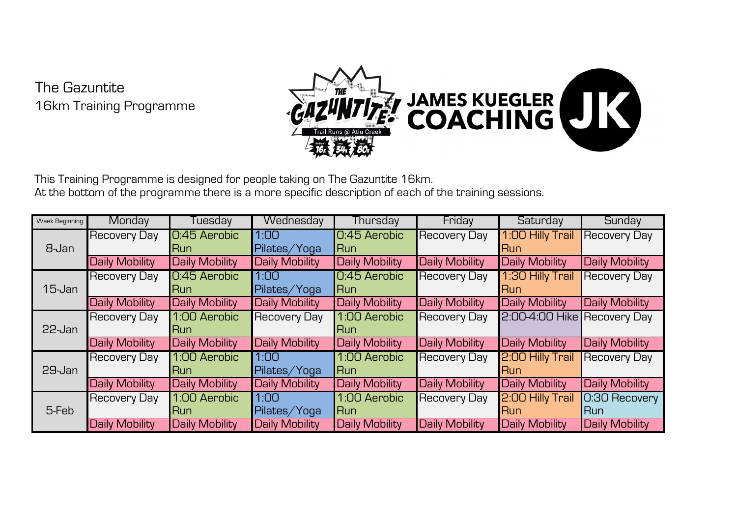The Gazuntite 16km Training Programme



This Training Programme is designed for people taking on The Gazuntite 16km. At the bottom of the programme there is a more specific description of each of the training sessions.

| Week Beginning | Monday              | Tuesday        | Wednesday             | Thursday       | Friday                | Saturday                    | Sunday                |
|----------------|---------------------|----------------|-----------------------|----------------|-----------------------|-----------------------------|-----------------------|
| 8-Jan          | Recovery Day        | 0:45 Aerobic   | 1:00                  | 0:45 Aerobic   | <b>Recovery Day</b>   | 1:00 Hilly Trail            | <b>Recovery Day</b>   |
|                |                     | Run            | Pilates/Yoga          | <b>Run</b>     |                       | lRun                        |                       |
|                | Daily Mobility      | Daily Mobility | Daily Mobility        | Daily Mobility | Daily Mobility        | Daily Mobility              | Daily Mobility        |
| $15$ -Jan      | <b>Recovery Day</b> | 0:45 Aerobic   | 1:00                  | 0:45 Aerobic   | <b>Recovery Day</b>   | 1:30 Hilly Trail            | <b>Recovery Day</b>   |
|                |                     | Run            | Pilates/Yoga          | <b>Run</b>     |                       | lRun                        |                       |
|                | Daily Mobility      | Daily Mobility | Daily Mobility        | Daily Mobility | <b>Daily Mobility</b> | Daily Mobility              | Daily Mobility        |
| $22$ -Jan      | Recovery Day        | 1:00 Aerobic   | Recovery Day          | 1:00 Aerobic   | <b>Recovery Day</b>   | 2:00-4:00 Hike Recovery Day |                       |
|                |                     | <b>Run</b>     |                       | lRun           |                       |                             |                       |
|                | Daily Mobility      | Daily Mobility | <b>Daily Mobility</b> | Daily Mobility | <b>Daily Mobility</b> | Daily Mobility              | <b>Daily Mobility</b> |
| 29-Jan         | Recovery Day        | 1:00 Aerobic   | 1:00                  | 1:00 Aerobic   | <b>Recovery Day</b>   | 2:00 Hilly Trail            | <b>Recovery Day</b>   |
|                |                     | Run            | Pilates/Yoga          | lRun           |                       | <b>IRun</b>                 |                       |
|                | Daily Mobility      | Daily Mobility | Daily Mobility        | Daily Mobility | Daily Mobility        | Daily Mobility              | Daily Mobility        |
| 5-Feb          | Recovery Day        | 1:00 Aerobic   | 1:00                  | 1:00 Aerobic   | <b>Recovery Day</b>   | 2:00 Hilly Trail            | 0:30 Recovery         |
|                |                     | Run            | Pilates/Yoga          | <b>I</b> Run   |                       | <b>Run</b>                  | <b>I</b> Run          |
|                | Daily Mobility      | Daily Mobility | Daily Mobility        | Daily Mobility | <b>Daily Mobility</b> | Daily Mobility              | Daily Mobility        |